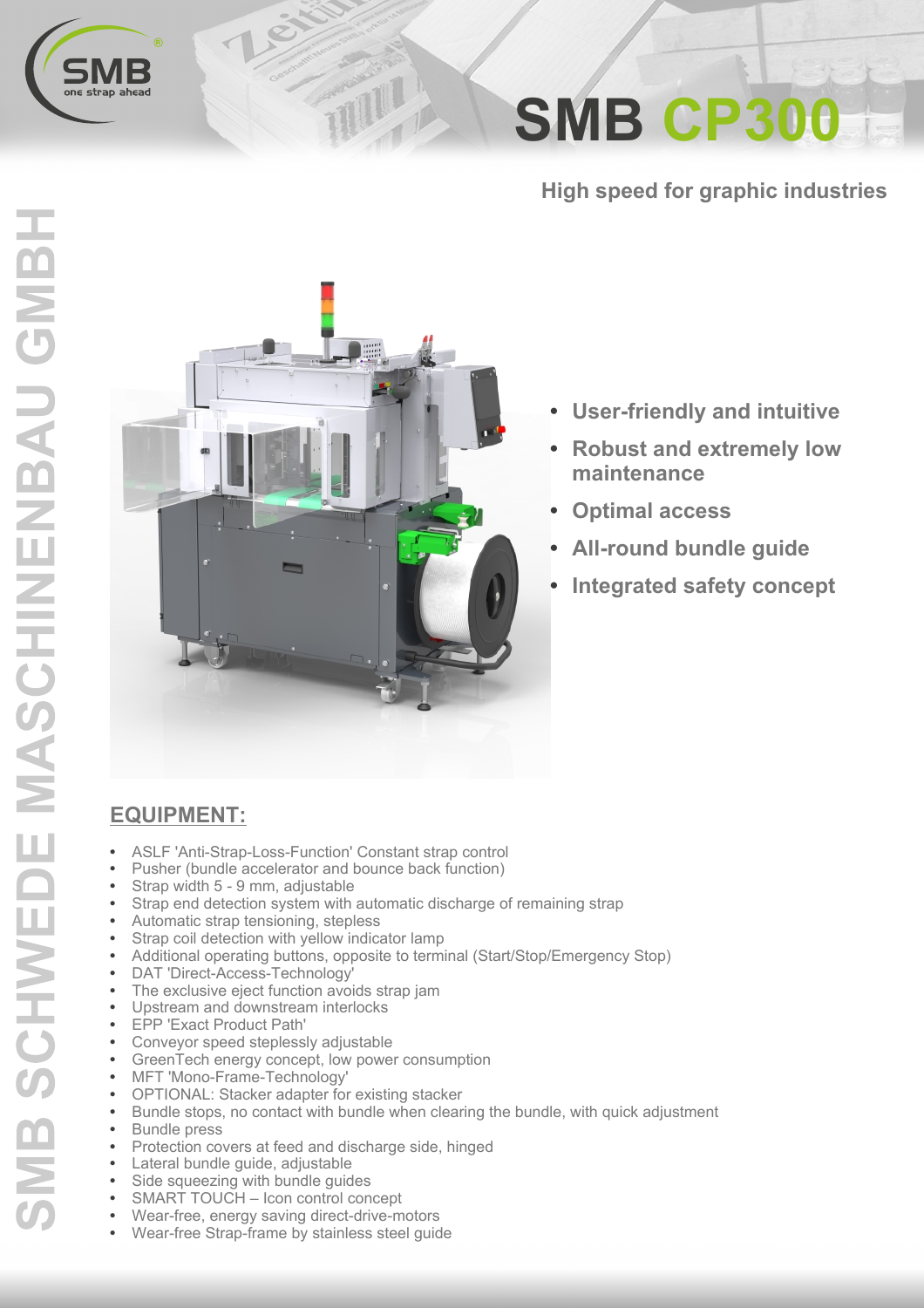

**SMB CP300** 

**High speed for graphic industries** 



TITLE

- **User-friendly and intuitive**  $\bullet$
- **Robust and extremely low** maintenance
- **Optimal access**
- **All-round bundle guide**
- **Integrated safety concept**

## EQUIPMENT:

- $\bullet$ ASLF 'Anti-Strap-Loss-Function' Constant strap control
- Pusher (bundle accelerator and bounce back function)
- Strap width 5 9 mm, adjustable
- Strap end detection system with automatic discharge of remaining strap
- Automatic strap tensioning, stepless
- Strap coil detection with yellow indicator lamp
- Additional operating buttons, opposite to terminal (Start/Stop/Emergency Stop)
- DAT 'Direct-Access-Technology'
- The exclusive eject function avoids strap jam
- Upstream and downstream interlocks
- EPP 'Exact Product Path'
- Conveyor speed steplessly adjustable
- GreenTech energy concept, low power consumption
- MFT 'Mono-Frame-Technology'
- $\bullet$ OPTIONAL: Stacker adapter for existing stacker
- Bundle stops, no contact with bundle when clearing the bundle, with quick adjustment
- $\bullet$ **Bundle** press
- $\bullet$ Protection covers at feed and discharge side, hinged
- Lateral bundle guide, adjustable
- $\bullet$ Side squeezing with bundle quides
- $\bullet$ SMART TOUCH - Icon control concept
- $\bullet$ Wear-free, energy saving direct-drive-motors
- Wear-free Strap-frame by stainless steel quide